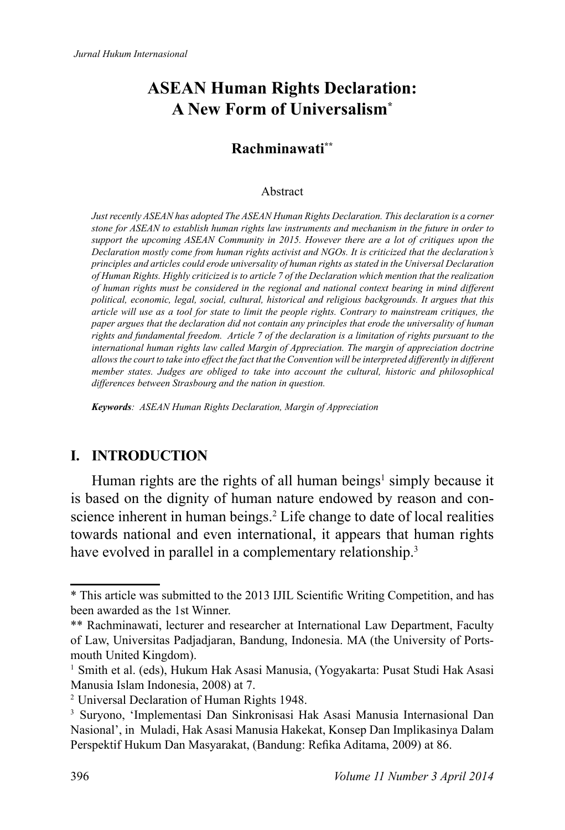# **ASEAN Human Rights Declaration: A New Form of Universalism\***

## **Rachminawati\*\***

#### Abstract

*Just recently ASEAN has adopted The ASEAN Human Rights Declaration. This declaration is a corner stone for ASEAN to establish human rights law instruments and mechanism in the future in order to support the upcoming ASEAN Community in 2015. However there are a lot of critiques upon the Declaration mostly come from human rights activist and NGOs. It is criticized that the declaration's principles and articles could erode universality of human rights as stated in the Universal Declaration of Human Rights. Highly criticized is to article 7 of the Declaration which mention that the realization of human rights must be considered in the regional and national context bearing in mind different political, economic, legal, social, cultural, historical and religious backgrounds. It argues that this article will use as a tool for state to limit the people rights. Contrary to mainstream critiques, the paper argues that the declaration did not contain any principles that erode the universality of human rights and fundamental freedom. Article 7 of the declaration is a limitation of rights pursuant to the international human rights law called Margin of Appreciation. The margin of appreciation doctrine allows the court to take into effect the fact that the Convention will be interpreted differently in different member states. Judges are obliged to take into account the cultural, historic and philosophical differences between Strasbourg and the nation in question.*

*Keywords: ASEAN Human Rights Declaration, Margin of Appreciation*

### **I. INTRODUCTION**

Human rights are the rights of all human beings<sup>1</sup> simply because it is based on the dignity of human nature endowed by reason and conscience inherent in human beings.<sup>2</sup> Life change to date of local realities towards national and even international, it appears that human rights have evolved in parallel in a complementary relationship.<sup>3</sup>

<sup>\*</sup> This article was submitted to the 2013 IJIL Scientific Writing Competition, and has been awarded as the 1st Winner.

<sup>\*\*</sup> Rachminawati, lecturer and researcher at International Law Department, Faculty of Law, Universitas Padjadjaran, Bandung, Indonesia. MA (the University of Portsmouth United Kingdom).

<sup>&</sup>lt;sup>1</sup> Smith et al. (eds), Hukum Hak Asasi Manusia, (Yogyakarta: Pusat Studi Hak Asasi Manusia Islam Indonesia, 2008) at 7.

<sup>2</sup>Universal Declaration of Human Rights 1948.

<sup>&</sup>lt;sup>3</sup> Suryono, 'Implementasi Dan Sinkronisasi Hak Asasi Manusia Internasional Dan Nasional', in Muladi, Hak Asasi Manusia Hakekat, Konsep Dan Implikasinya Dalam Perspektif Hukum Dan Masyarakat, (Bandung: Refika Aditama, 2009) at 86.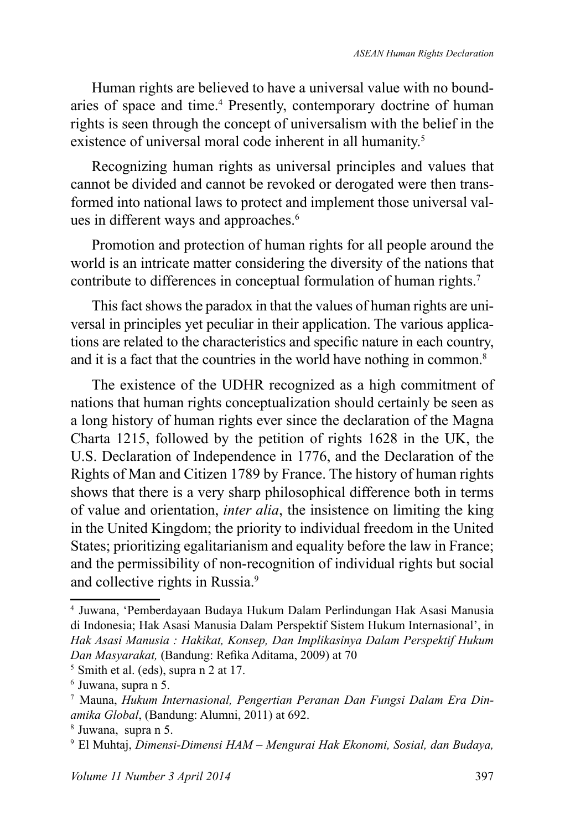Human rights are believed to have a universal value with no boundaries of space and time.<sup>4</sup> Presently, contemporary doctrine of human rights is seen through the concept of universalism with the belief in the existence of universal moral code inherent in all humanity.<sup>5</sup>

Recognizing human rights as universal principles and values that cannot be divided and cannot be revoked or derogated were then transformed into national laws to protect and implement those universal values in different ways and approaches.<sup>6</sup>

Promotion and protection of human rights for all people around the world is an intricate matter considering the diversity of the nations that contribute to differences in conceptual formulation of human rights.<sup>7</sup>

This fact shows the paradox in that the values of human rights are universal in principles yet peculiar in their application. The various applications are related to the characteristics and specific nature in each country, and it is a fact that the countries in the world have nothing in common.<sup>8</sup>

The existence of the UDHR recognized as a high commitment of nations that human rights conceptualization should certainly be seen as a long history of human rights ever since the declaration of the Magna Charta 1215, followed by the petition of rights 1628 in the UK, the U.S. Declaration of Independence in 1776, and the Declaration of the Rights of Man and Citizen 1789 by France. The history of human rights shows that there is a very sharp philosophical difference both in terms of value and orientation, *inter alia*, the insistence on limiting the king in the United Kingdom; the priority to individual freedom in the United States; prioritizing egalitarianism and equality before the law in France; and the permissibility of non-recognition of individual rights but social and collective rights in Russia.<sup>9</sup>

<sup>4</sup>Juwana, 'Pemberdayaan Budaya Hukum Dalam Perlindungan Hak Asasi Manusia di Indonesia; Hak Asasi Manusia Dalam Perspektif Sistem Hukum Internasional', in *Hak Asasi Manusia : Hakikat, Konsep, Dan Implikasinya Dalam Perspektif Hukum*  Dan Masyarakat, (Bandung: Refika Aditama, 2009) at 70

 $<sup>5</sup>$  Smith et al. (eds), supra n 2 at 17.</sup>

<sup>&</sup>lt;sup>6</sup> Juwana, supra n 5.

<sup>7</sup> Mauna, *Hukum Internasional, Pengertian Peranan Dan Fungsi Dalam Era Dinamika Global*, (Bandung: Alumni, 2011) at 692.

<sup>8</sup>Juwana, supra n 5.

<sup>9</sup>El Muhtaj, *Dimensi-Dimensi HAM – Mengurai Hak Ekonomi, Sosial, dan Budaya,*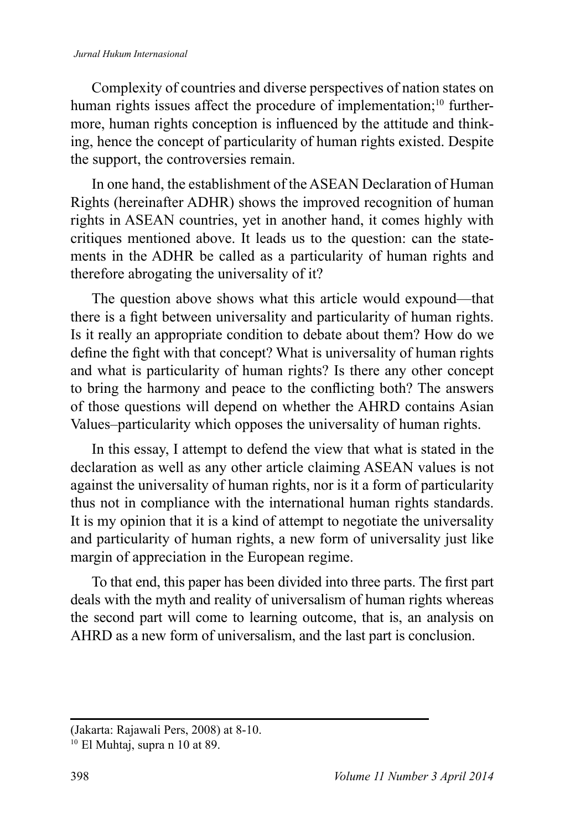#### *Jurnal Hukum Internasional*

Complexity of countries and diverse perspectives of nation states on human rights issues affect the procedure of implementation;<sup>10</sup> furthermore, human rights conception is influenced by the attitude and thinking, hence the concept of particularity of human rights existed. Despite the support, the controversies remain.

In one hand, the establishment of the ASEAN Declaration of Human Rights (hereinafter ADHR) shows the improved recognition of human rights in ASEAN countries, yet in another hand, it comes highly with critiques mentioned above. It leads us to the question: can the statements in the ADHR be called as a particularity of human rights and therefore abrogating the universality of it?

The question above shows what this article would expound—that there is a fight between universality and particularity of human rights. Is it really an appropriate condition to debate about them? How do we define the fight with that concept? What is universality of human rights and what is particularity of human rights? Is there any other concept to bring the harmony and peace to the conflicting both? The answers of those questions will depend on whether the AHRD contains Asian Values–particularity which opposes the universality of human rights.

In this essay, I attempt to defend the view that what is stated in the declaration as well as any other article claiming ASEAN values is not against the universality of human rights, nor is it a form of particularity thus not in compliance with the international human rights standards. It is my opinion that it is a kind of attempt to negotiate the universality and particularity of human rights, a new form of universality just like margin of appreciation in the European regime.

To that end, this paper has been divided into three parts. The first part deals with the myth and reality of universalism of human rights whereas the second part will come to learning outcome, that is, an analysis on AHRD as a new form of universalism, and the last part is conclusion.

<sup>(</sup>Jakarta: Rajawali Pers, 2008) at 8-10.

 $10$  El Muhtaj, supra n 10 at 89.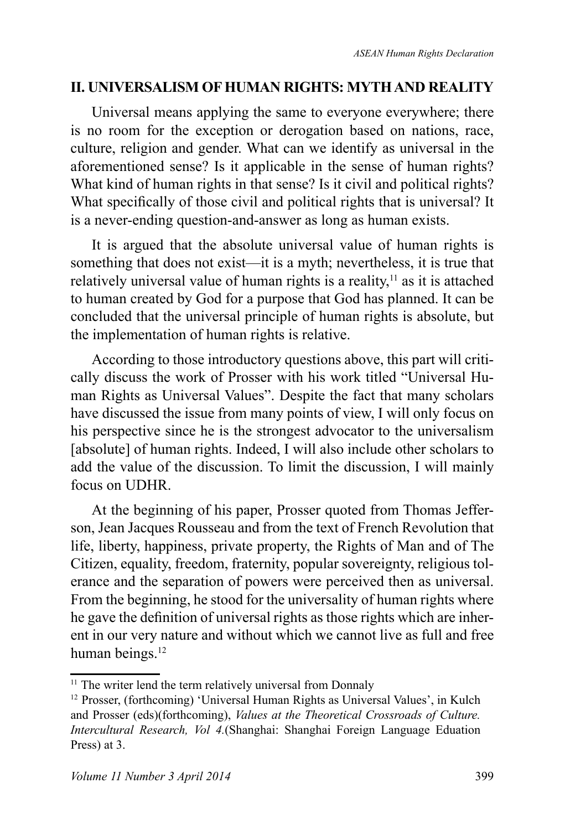### **II. UNIVERSALISM OF HUMAN RIGHTS: MYTH AND REALITY**

Universal means applying the same to everyone everywhere; there is no room for the exception or derogation based on nations, race, culture, religion and gender. What can we identify as universal in the aforementioned sense? Is it applicable in the sense of human rights? What kind of human rights in that sense? Is it civil and political rights? What specifically of those civil and political rights that is universal? It is a never-ending question-and-answer as long as human exists.

It is argued that the absolute universal value of human rights is something that does not exist—it is a myth; nevertheless, it is true that relatively universal value of human rights is a reality, $<sup>11</sup>$  as it is attached</sup> to human created by God for a purpose that God has planned. It can be concluded that the universal principle of human rights is absolute, but the implementation of human rights is relative.

According to those introductory questions above, this part will critically discuss the work of Prosser with his work titled "Universal Human Rights as Universal Values". Despite the fact that many scholars have discussed the issue from many points of view, I will only focus on his perspective since he is the strongest advocator to the universalism [absolute] of human rights. Indeed, I will also include other scholars to add the value of the discussion. To limit the discussion, I will mainly focus on UDHR.

At the beginning of his paper, Prosser quoted from Thomas Jefferson, Jean Jacques Rousseau and from the text of French Revolution that life, liberty, happiness, private property, the Rights of Man and of The Citizen, equality, freedom, fraternity, popular sovereignty, religious tolerance and the separation of powers were perceived then as universal. From the beginning, he stood for the universality of human rights where he gave the definition of universal rights as those rights which are inherent in our very nature and without which we cannot live as full and free human beings.<sup>12</sup>

<sup>&</sup>lt;sup>11</sup> The writer lend the term relatively universal from Donnaly

<sup>&</sup>lt;sup>12</sup> Prosser, (forthcoming) 'Universal Human Rights as Universal Values', in Kulch and Prosser (eds)(forthcoming), *Values at the Theoretical Crossroads of Culture. Intercultural Research, Vol 4.*(Shanghai: Shanghai Foreign Language Eduation Press) at 3.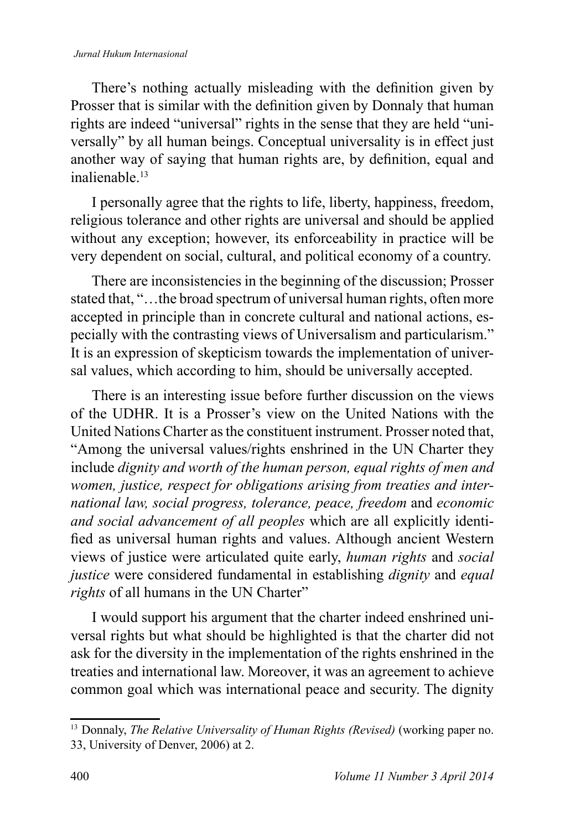#### *Jurnal Hukum Internasional*

There's nothing actually misleading with the definition given by Prosser that is similar with the definition given by Donnaly that human rights are indeed "universal" rights in the sense that they are held "universally" by all human beings. Conceptual universality is in effect just another way of saying that human rights are, by definition, equal and inalienable<sup>13</sup>

I personally agree that the rights to life, liberty, happiness, freedom, religious tolerance and other rights are universal and should be applied without any exception; however, its enforceability in practice will be very dependent on social, cultural, and political economy of a country.

There are inconsistencies in the beginning of the discussion; Prosser stated that, "…the broad spectrum of universal human rights, often more accepted in principle than in concrete cultural and national actions, especially with the contrasting views of Universalism and particularism." It is an expression of skepticism towards the implementation of universal values, which according to him, should be universally accepted.

There is an interesting issue before further discussion on the views of the UDHR. It is a Prosser's view on the United Nations with the United Nations Charter as the constituent instrument. Prosser noted that, "Among the universal values/rights enshrined in the UN Charter they include *dignity and worth of the human person, equal rights of men and women, justice, respect for obligations arising from treaties and international law, social progress, tolerance, peace, freedom* and *economic and social advancement of all peoples* which are all explicitly identified as universal human rights and values. Although ancient Western views of justice were articulated quite early, *human rights* and *social justice* were considered fundamental in establishing *dignity* and *equal rights* of all humans in the UN Charter"

I would support his argument that the charter indeed enshrined universal rights but what should be highlighted is that the charter did not ask for the diversity in the implementation of the rights enshrined in the treaties and international law. Moreover, it was an agreement to achieve common goal which was international peace and security. The dignity

<sup>&</sup>lt;sup>13</sup> Donnaly, *The Relative Universality of Human Rights (Revised)* (working paper no. 33, University of Denver, 2006) at 2.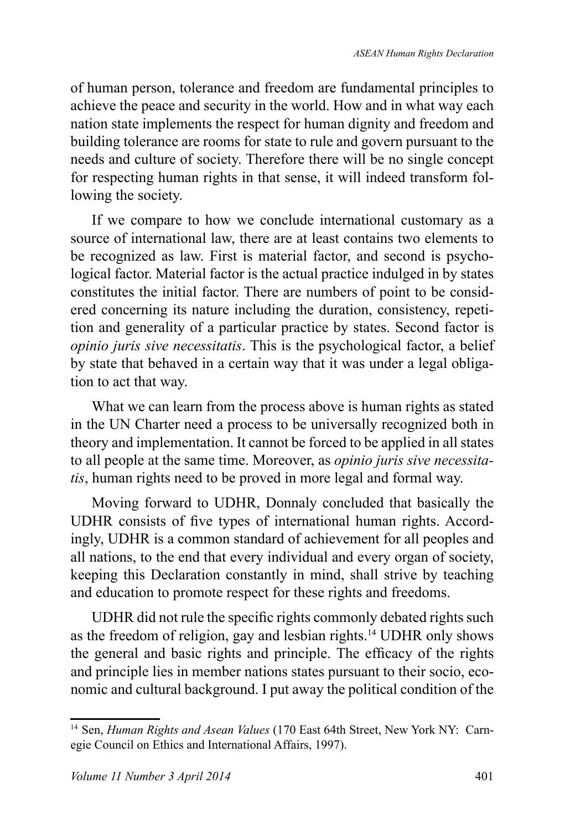of human person, tolerance and freedom are fundamental principles to achieve the peace and security in the world. How and in what way each nation state implements the respect for human dignity and freedom and building tolerance are rooms for state to rule and govern pursuant to the needs and culture of society. Therefore there will be no single concept for respecting human rights in that sense, it will indeed transform following the society.

If we compare to how we conclude international customary as a source of international law, there are at least contains two elements to be recognized as law. First is material factor, and second is psychological factor. Material factor is the actual practice indulged in by states constitutes the initial factor. There are numbers of point to be considered concerning its nature including the duration, consistency, repetition and generality of a particular practice by states. Second factor is *opinio juris sive necessitatis*. This is the psychological factor, a belief by state that behaved in a certain way that it was under a legal obligation to act that way.

What we can learn from the process above is human rights as stated in the UN Charter need a process to be universally recognized both in theory and implementation. It cannot be forced to be applied in all states to all people at the same time. Moreover, as *opinio juris sive necessitatis*, human rights need to be proved in more legal and formal way.

Moving forward to UDHR, Donnaly concluded that basically the UDHR consists of five types of international human rights. Accordingly, UDHR is a common standard of achievement for all peoples and all nations, to the end that every individual and every organ of society, keeping this Declaration constantly in mind, shall strive by teaching and education to promote respect for these rights and freedoms.

UDHR did not rule the specific rights commonly debated rights such as the freedom of religion, gay and lesbian rights.<sup>14</sup> UDHR only shows the general and basic rights and principle. The efficacy of the rights and principle lies in member nations states pursuant to their socio, economic and cultural background. I put away the political condition of the

<sup>&</sup>lt;sup>14</sup> Sen, *Human Rights and Asean Values* (170 East 64th Street, New York NY: Carnegie Council on Ethics and International Affairs, 1997).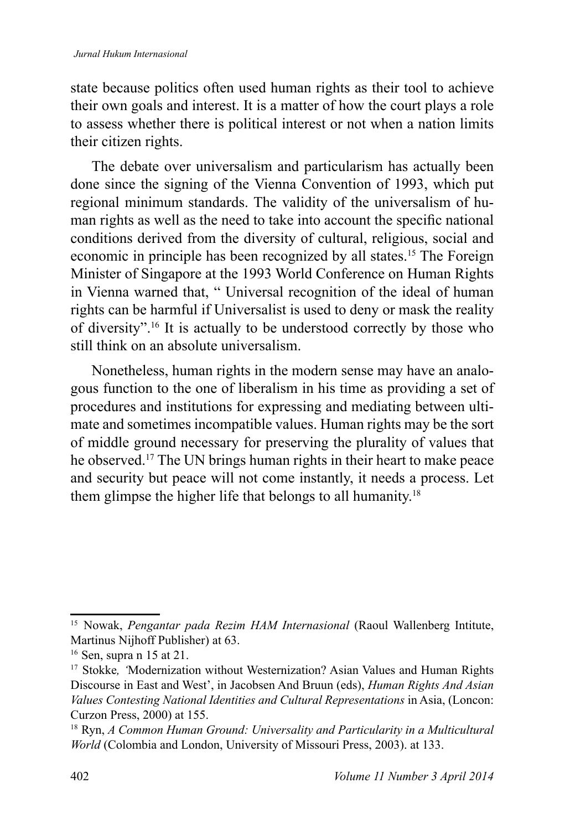state because politics often used human rights as their tool to achieve their own goals and interest. It is a matter of how the court plays a role to assess whether there is political interest or not when a nation limits their citizen rights.

The debate over universalism and particularism has actually been done since the signing of the Vienna Convention of 1993, which put regional minimum standards. The validity of the universalism of human rights as well as the need to take into account the specific national conditions derived from the diversity of cultural, religious, social and economic in principle has been recognized by all states.<sup>15</sup> The Foreign Minister of Singapore at the 1993 World Conference on Human Rights in Vienna warned that, " Universal recognition of the ideal of human rights can be harmful if Universalist is used to deny or mask the reality of diversity".<sup>16</sup> It is actually to be understood correctly by those who still think on an absolute universalism.

Nonetheless, human rights in the modern sense may have an analogous function to the one of liberalism in his time as providing a set of procedures and institutions for expressing and mediating between ultimate and sometimes incompatible values. Human rights may be the sort of middle ground necessary for preserving the plurality of values that he observed.<sup>17</sup> The UN brings human rights in their heart to make peace and security but peace will not come instantly, it needs a process. Let them glimpse the higher life that belongs to all humanity.<sup>18</sup>

<sup>&</sup>lt;sup>15</sup> Nowak, *Pengantar pada Rezim HAM Internasional* (Raoul Wallenberg Intitute, Martinus Nijhoff Publisher) at 63.

 $16$  Sen, supra n 15 at 21.

<sup>&</sup>lt;sup>17</sup> Stokke, 'Modernization without Westernization? Asian Values and Human Rights Discourse in East and West', in Jacobsen And Bruun (eds), *Human Rights And Asian Values Contesting National Identities and Cultural Representations* in Asia, (Loncon: Curzon Press, 2000) at 155.

<sup>&</sup>lt;sup>18</sup> Ryn, *A Common Human Ground: Universality and Particularity in a Multicultural World* (Colombia and London, University of Missouri Press, 2003). at 133.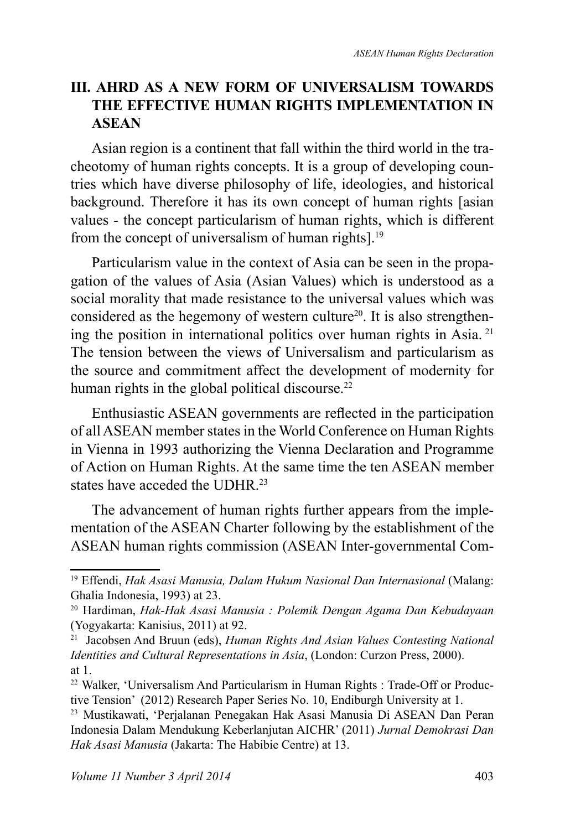# **III. AHRD AS A NEW FORM OF UNIVERSALISM TOWARDS THE EFFECTIVE HUMAN RIGHTS IMPLEMENTATION IN ASEAN**

Asian region is a continent that fall within the third world in the tracheotomy of human rights concepts. It is a group of developing countries which have diverse philosophy of life, ideologies, and historical background. Therefore it has its own concept of human rights [asian values - the concept particularism of human rights, which is different from the concept of universalism of human rights].<sup>19</sup>

Particularism value in the context of Asia can be seen in the propagation of the values of Asia (Asian Values) which is understood as a social morality that made resistance to the universal values which was considered as the hegemony of western culture<sup>20</sup>. It is also strengthening the position in international politics over human rights in Asia.<sup>21</sup> The tension between the views of Universalism and particularism as the source and commitment affect the development of modernity for human rights in the global political discourse.<sup>22</sup>

Enthusiastic ASEAN governments are reflected in the participation of all ASEAN member states in the World Conference on Human Rights in Vienna in 1993 authorizing the Vienna Declaration and Programme of Action on Human Rights. At the same time the ten ASEAN member states have acceded the UDHR<sup>23</sup>

The advancement of human rights further appears from the implementation of the ASEAN Charter following by the establishment of the ASEAN human rights commission (ASEAN Inter-governmental Com-

<sup>19</sup>Effendi, *Hak Asasi Manusia, Dalam Hukum Nasional Dan Internasional* (Malang: Ghalia Indonesia, 1993) at 23.

<sup>&</sup>lt;sup>20</sup> Hardiman, *Hak-Hak Asasi Manusia : Polemik Dengan Agama Dan Kebudayaan* (Yogyakarta: Kanisius, 2011) at 92.

<sup>&</sup>lt;sup>21</sup> Jacobsen And Bruun (eds), *Human Rights And Asian Values Contesting National Identities and Cultural Representations in Asia*, (London: Curzon Press, 2000). at 1.

<sup>22</sup> Walker, 'Universalism And Particularism in Human Rights : Trade-Off or Productive Tension' (2012) Research Paper Series No. 10, Endiburgh University at 1.

<sup>&</sup>lt;sup>23</sup> Mustikawati, 'Perjalanan Penegakan Hak Asasi Manusia Di ASEAN Dan Peran Indonesia Dalam Mendukung Keberlanjutan AICHR' (2011) *Jurnal Demokrasi Dan Hak Asasi Manusia* (Jakarta: The Habibie Centre) at 13.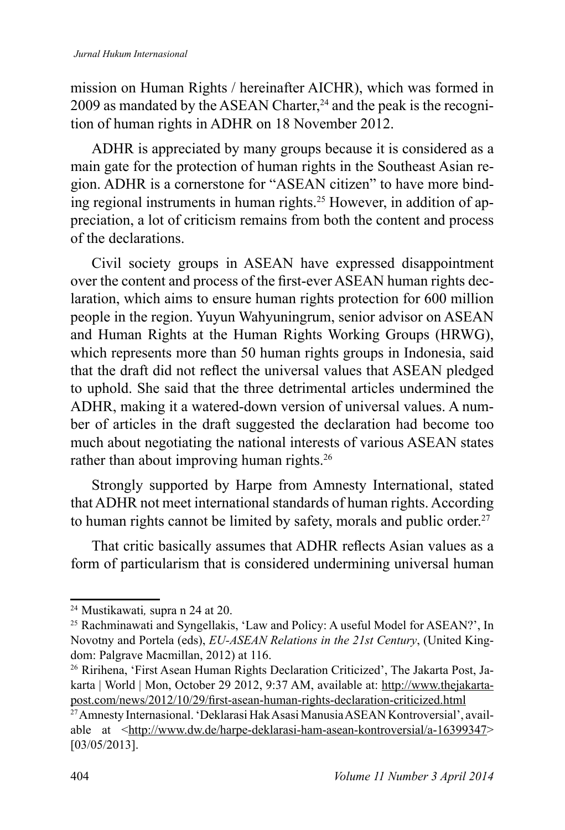mission on Human Rights / hereinafter AICHR), which was formed in  $2009$  as mandated by the ASEAN Charter,<sup>24</sup> and the peak is the recognition of human rights in ADHR on 18 November 2012.

ADHR is appreciated by many groups because it is considered as a main gate for the protection of human rights in the Southeast Asian region. ADHR is a cornerstone for "ASEAN citizen" to have more binding regional instruments in human rights.<sup>25</sup> However, in addition of appreciation, a lot of criticism remains from both the content and process of the declarations.

Civil society groups in ASEAN have expressed disappointment over the content and process of the first-ever ASEAN human rights declaration, which aims to ensure human rights protection for 600 million people in the region. Yuyun Wahyuningrum, senior advisor on ASEAN and Human Rights at the Human Rights Working Groups (HRWG), which represents more than 50 human rights groups in Indonesia, said that the draft did not reflect the universal values that ASEAN pledged to uphold. She said that the three detrimental articles undermined the ADHR, making it a watered-down version of universal values. A number of articles in the draft suggested the declaration had become too much about negotiating the national interests of various ASEAN states rather than about improving human rights.<sup>26</sup>

Strongly supported by Harpe from Amnesty International, stated that ADHR not meet international standards of human rights. According to human rights cannot be limited by safety, morals and public order.<sup>27</sup>

That critic basically assumes that ADHR reflects Asian values as a form of particularism that is considered undermining universal human

<sup>&</sup>lt;sup>24</sup> Mustikawati, supra n 24 at 20.

<sup>&</sup>lt;sup>25</sup> Rachminawati and Syngellakis, 'Law and Policy: A useful Model for ASEAN?', In Novotny and Portela (eds), *EU-ASEAN Relations in the 21st Century*, (United Kingdom: Palgrave Macmillan, 2012) at 116.

<sup>26</sup> Ririhena, 'First Asean Human Rights Declaration Criticized', The Jakarta Post, Jakarta | World | Mon, October 29 2012, 9:37 AM, available at: http://www.thejakartapost.com/news/2012/10/29/first-asean-human-rights-declaration-criticized.html

<sup>27</sup> Amnesty Internasional. 'Deklarasi Hak Asasi Manusia ASEAN Kontroversial', available at <http://www.dw.de/harpe-deklarasi-ham-asean-kontroversial/a-16399347> [03/05/2013].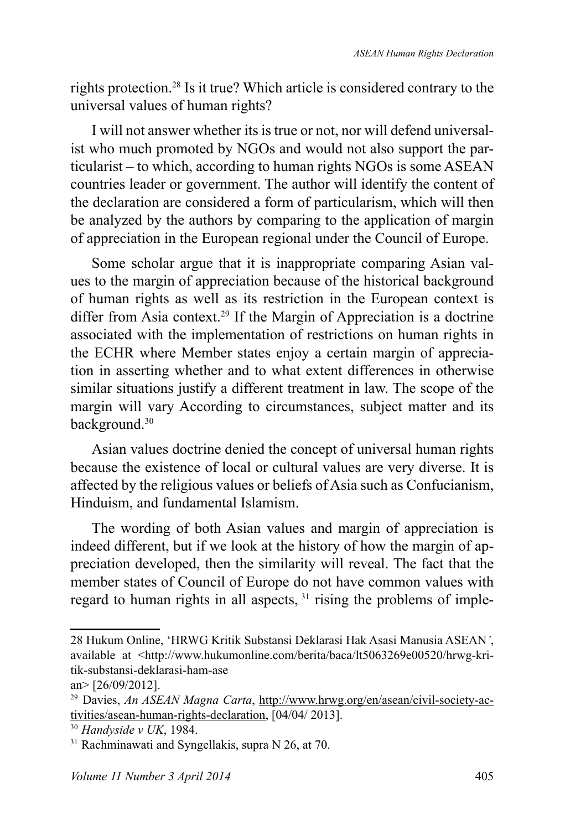rights protection.<sup>28</sup> Is it true? Which article is considered contrary to the universal values of human rights?

I will not answer whether its is true or not, nor will defend universalist who much promoted by NGOs and would not also support the particularist – to which, according to human rights NGOs is some ASEAN countries leader or government. The author will identify the content of the declaration are considered a form of particularism, which will then be analyzed by the authors by comparing to the application of margin of appreciation in the European regional under the Council of Europe.

Some scholar argue that it is inappropriate comparing Asian values to the margin of appreciation because of the historical background of human rights as well as its restriction in the European context is differ from Asia context.<sup>29</sup> If the Margin of Appreciation is a doctrine associated with the implementation of restrictions on human rights in the ECHR where Member states enjoy a certain margin of appreciation in asserting whether and to what extent differences in otherwise similar situations justify a different treatment in law. The scope of the margin will vary According to circumstances, subject matter and its background.<sup>30</sup>

Asian values doctrine denied the concept of universal human rights because the existence of local or cultural values are very diverse. It is affected by the religious values or beliefs of Asia such as Confucianism, Hinduism, and fundamental Islamism.

The wording of both Asian values and margin of appreciation is indeed different, but if we look at the history of how the margin of appreciation developed, then the similarity will reveal. The fact that the member states of Council of Europe do not have common values with regard to human rights in all aspects, <sup>31</sup> rising the problems of imple-

<sup>28</sup> Hukum Online, 'HRWG Kritik Substansi Deklarasi Hak Asasi Manusia ASEAN*'*, available at <http://www.hukumonline.com/berita/baca/lt5063269e00520/hrwg-kritik-substansi-deklarasi-ham-ase

an> [26/09/2012].

<sup>&</sup>lt;sup>29</sup> Davies, *An ASEAN Magna Carta*, http://www.hrwg.org/en/asean/civil-society-activities/asean-human-rights-declaration, [04/04/ 2013].

<sup>30</sup>*Handyside v UK*, 1984.

 $31$  Rachminawati and Syngellakis, supra N 26, at 70.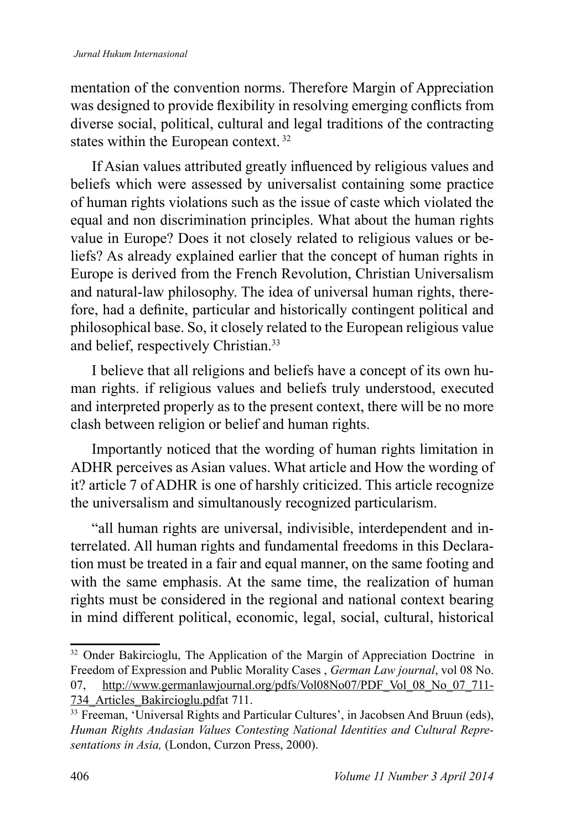mentation of the convention norms. Therefore Margin of Appreciation was designed to provide flexibility in resolving emerging conflicts from diverse social, political, cultural and legal traditions of the contracting states within the European context.<sup>32</sup>

If Asian values attributed greatly influenced by religious values and beliefs which were assessed by universalist containing some practice of human rights violations such as the issue of caste which violated the equal and non discrimination principles. What about the human rights value in Europe? Does it not closely related to religious values or beliefs? As already explained earlier that the concept of human rights in Europe is derived from the French Revolution, Christian Universalism and natural-law philosophy. The idea of universal human rights, therefore, had a definite, particular and historically contingent political and philosophical base. So, it closely related to the European religious value and belief, respectively Christian.<sup>33</sup>

I believe that all religions and beliefs have a concept of its own human rights. if religious values and beliefs truly understood, executed and interpreted properly as to the present context, there will be no more clash between religion or belief and human rights.

Importantly noticed that the wording of human rights limitation in ADHR perceives as Asian values. What article and How the wording of it? article 7 of ADHR is one of harshly criticized. This article recognize the universalism and simultanously recognized particularism.

"all human rights are universal, indivisible, interdependent and interrelated. All human rights and fundamental freedoms in this Declaration must be treated in a fair and equal manner, on the same footing and with the same emphasis. At the same time, the realization of human rights must be considered in the regional and national context bearing in mind different political, economic, legal, social, cultural, historical

<sup>&</sup>lt;sup>32</sup> Onder Bakircioglu, The Application of the Margin of Appreciation Doctrine in Freedom of Expression and Public Morality Cases , *German Law journal*, vol 08 No. 07, http://www.germanlawjournal.org/pdfs/Vol08No07/PDF Vol 08 No 07 711-734\_Articles\_Bakircioglu.pdfat 711.

<sup>&</sup>lt;sup>33</sup> Freeman, 'Universal Rights and Particular Cultures', in Jacobsen And Bruun (eds), *Human Rights Andasian Values Contesting National Identities and Cultural Representations in Asia,* (London, Curzon Press, 2000).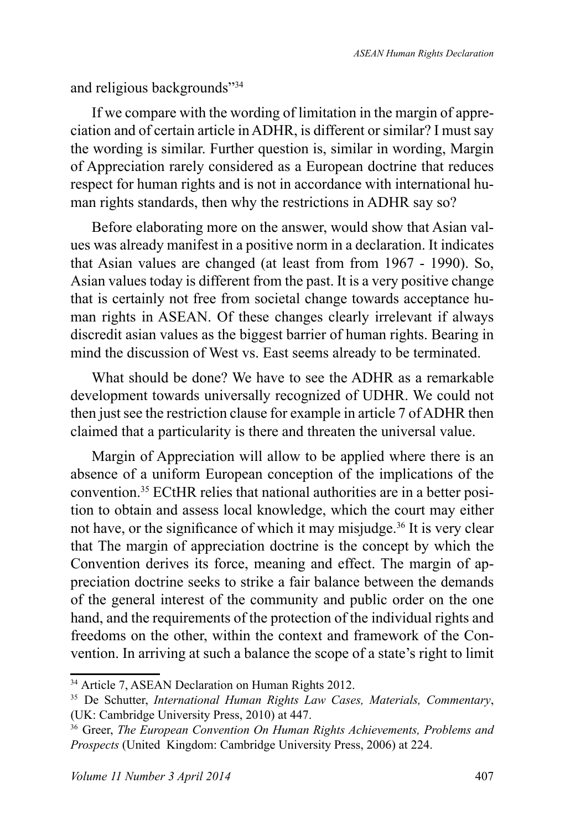and religious backgrounds"<sup>34</sup>

If we compare with the wording of limitation in the margin of appreciation and of certain article in ADHR, is different or similar? I must say the wording is similar. Further question is, similar in wording, Margin of Appreciation rarely considered as a European doctrine that reduces respect for human rights and is not in accordance with international human rights standards, then why the restrictions in ADHR say so?

Before elaborating more on the answer, would show that Asian values was already manifest in a positive norm in a declaration. It indicates that Asian values are changed (at least from from 1967 - 1990). So, Asian values today is different from the past. It is a very positive change that is certainly not free from societal change towards acceptance human rights in ASEAN. Of these changes clearly irrelevant if always discredit asian values as the biggest barrier of human rights. Bearing in mind the discussion of West vs. East seems already to be terminated.

What should be done? We have to see the ADHR as a remarkable development towards universally recognized of UDHR. We could not then just see the restriction clause for example in article 7 of ADHR then claimed that a particularity is there and threaten the universal value.

Margin of Appreciation will allow to be applied where there is an absence of a uniform European conception of the implications of the convention.35 ECtHR relies that national authorities are in a better position to obtain and assess local knowledge, which the court may either not have, or the significance of which it may misjudge.<sup>36</sup> It is very clear that The margin of appreciation doctrine is the concept by which the Convention derives its force, meaning and effect. The margin of appreciation doctrine seeks to strike a fair balance between the demands of the general interest of the community and public order on the one hand, and the requirements of the protection of the individual rights and freedoms on the other, within the context and framework of the Convention. In arriving at such a balance the scope of a state's right to limit

<sup>&</sup>lt;sup>34</sup> Article 7, ASEAN Declaration on Human Rights 2012.

<sup>35</sup>De Schutter, *International Human Rights Law Cases, Materials, Commentary*, (UK: Cambridge University Press, 2010) at 447.

<sup>&</sup>lt;sup>36</sup> Greer, *The European Convention On Human Rights Achievements, Problems and Prospects* (United Kingdom: Cambridge University Press, 2006) at 224.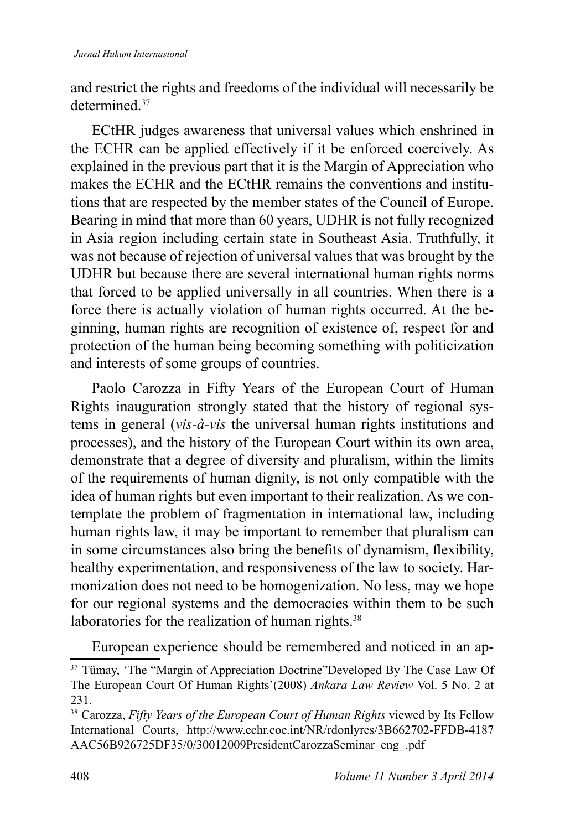and restrict the rights and freedoms of the individual will necessarily be determined<sup>37</sup>

ECtHR judges awareness that universal values which enshrined in the ECHR can be applied effectively if it be enforced coercively. As explained in the previous part that it is the Margin of Appreciation who makes the ECHR and the ECtHR remains the conventions and institutions that are respected by the member states of the Council of Europe. Bearing in mind that more than 60 years, UDHR is not fully recognized in Asia region including certain state in Southeast Asia. Truthfully, it was not because of rejection of universal values that was brought by the UDHR but because there are several international human rights norms that forced to be applied universally in all countries. When there is a force there is actually violation of human rights occurred. At the beginning, human rights are recognition of existence of, respect for and protection of the human being becoming something with politicization and interests of some groups of countries.

Paolo Carozza in Fifty Years of the European Court of Human Rights inauguration strongly stated that the history of regional systems in general (*vis-à-vis* the universal human rights institutions and processes), and the history of the European Court within its own area, demonstrate that a degree of diversity and pluralism, within the limits of the requirements of human dignity, is not only compatible with the idea of human rights but even important to their realization. As we contemplate the problem of fragmentation in international law, including human rights law, it may be important to remember that pluralism can in some circumstances also bring the benefits of dynamism, flexibility, healthy experimentation, and responsiveness of the law to society. Harmonization does not need to be homogenization. No less, may we hope for our regional systems and the democracies within them to be such laboratories for the realization of human rights.<sup>38</sup>

European experience should be remembered and noticed in an ap-

<sup>&</sup>lt;sup>37</sup> Tümay, 'The "Margin of Appreciation Doctrine"Developed By The Case Law Of The European Court Of Human Rights'(2008) *Ankara Law Review* Vol. 5 No. 2 at 231.

<sup>&</sup>lt;sup>38</sup> Carozza, *Fifty Years of the European Court of Human Rights* viewed by Its Fellow International Courts, http://www.echr.coe.int/NR/rdonlyres/3B662702-FFDB-4187 AAC56B926725DF35/0/30012009PresidentCarozzaSeminar\_eng\_.pdf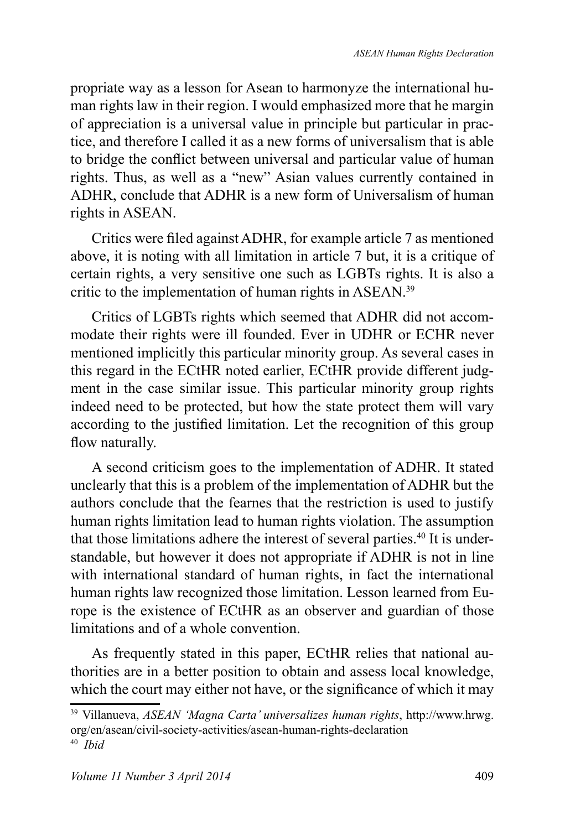propriate way as a lesson for Asean to harmonyze the international human rights law in their region. I would emphasized more that he margin of appreciation is a universal value in principle but particular in practice, and therefore I called it as a new forms of universalism that is able to bridge the conflict between universal and particular value of human rights. Thus, as well as a "new" Asian values currently contained in ADHR, conclude that ADHR is a new form of Universalism of human rights in ASEAN.

Critics were filed against ADHR, for example article 7 as mentioned above, it is noting with all limitation in article 7 but, it is a critique of certain rights, a very sensitive one such as LGBTs rights. It is also a critic to the implementation of human rights in ASEAN.<sup>39</sup>

Critics of LGBTs rights which seemed that ADHR did not accommodate their rights were ill founded. Ever in UDHR or ECHR never mentioned implicitly this particular minority group. As several cases in this regard in the ECtHR noted earlier, ECtHR provide different judgment in the case similar issue. This particular minority group rights indeed need to be protected, but how the state protect them will vary according to the justified limitation. Let the recognition of this group flow naturally.

A second criticism goes to the implementation of ADHR. It stated unclearly that this is a problem of the implementation of ADHR but the authors conclude that the fearnes that the restriction is used to justify human rights limitation lead to human rights violation. The assumption that those limitations adhere the interest of several parties.<sup>40</sup> It is understandable, but however it does not appropriate if ADHR is not in line with international standard of human rights, in fact the international human rights law recognized those limitation. Lesson learned from Europe is the existence of ECtHR as an observer and guardian of those limitations and of a whole convention.

As frequently stated in this paper, ECtHR relies that national authorities are in a better position to obtain and assess local knowledge, which the court may either not have, or the significance of which it may

<sup>&</sup>lt;sup>39</sup> Villanueva, *ASEAN 'Magna Carta' universalizes human rights*, http://www.hrwg. org/en/asean/civil-society-activities/asean-human-rights-declaration 40 *Ibid*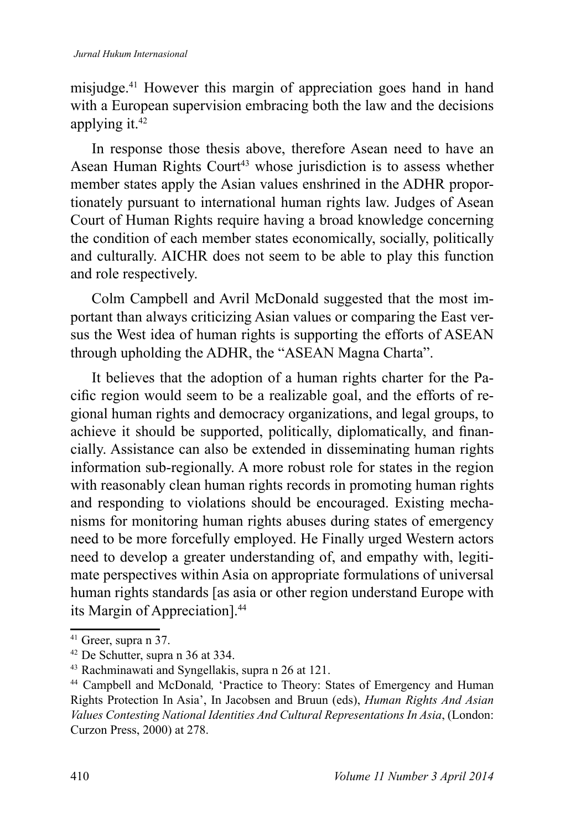misjudge.<sup>41</sup> However this margin of appreciation goes hand in hand with a European supervision embracing both the law and the decisions applying it.<sup>42</sup>

In response those thesis above, therefore Asean need to have an Asean Human Rights Court<sup>43</sup> whose jurisdiction is to assess whether member states apply the Asian values enshrined in the ADHR proportionately pursuant to international human rights law. Judges of Asean Court of Human Rights require having a broad knowledge concerning the condition of each member states economically, socially, politically and culturally. AICHR does not seem to be able to play this function and role respectively.

Colm Campbell and Avril McDonald suggested that the most important than always criticizing Asian values or comparing the East versus the West idea of human rights is supporting the efforts of ASEAN through upholding the ADHR, the "ASEAN Magna Charta".

It believes that the adoption of a human rights charter for the Pacific region would seem to be a realizable goal, and the efforts of regional human rights and democracy organizations, and legal groups, to achieve it should be supported, politically, diplomatically, and financially. Assistance can also be extended in disseminating human rights information sub-regionally. A more robust role for states in the region with reasonably clean human rights records in promoting human rights and responding to violations should be encouraged. Existing mechanisms for monitoring human rights abuses during states of emergency need to be more forcefully employed. He Finally urged Western actors need to develop a greater understanding of, and empathy with, legitimate perspectives within Asia on appropriate formulations of universal human rights standards [as asia or other region understand Europe with its Margin of Appreciation].<sup>44</sup>

<sup>&</sup>lt;sup>41</sup> Greer, supra n 37.

<sup>42</sup>De Schutter, supra n 36 at 334.

<sup>&</sup>lt;sup>43</sup> Rachminawati and Syngellakis, supra n 26 at 121.

<sup>&</sup>lt;sup>44</sup> Campbell and McDonald, 'Practice to Theory: States of Emergency and Human Rights Protection In Asia', In Jacobsen and Bruun (eds), *Human Rights And Asian Values Contesting National Identities And Cultural Representations In Asia*, (London: Curzon Press, 2000) at 278.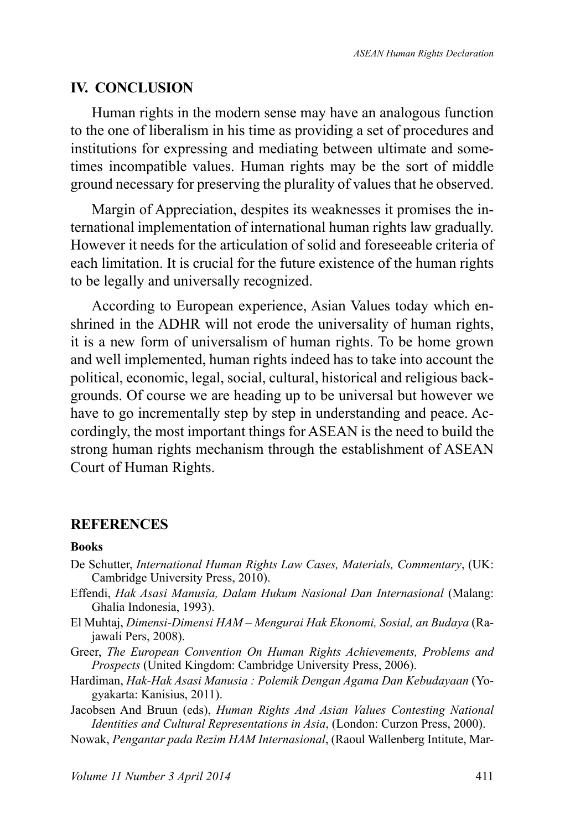### **IV. CONCLUSION**

Human rights in the modern sense may have an analogous function to the one of liberalism in his time as providing a set of procedures and institutions for expressing and mediating between ultimate and sometimes incompatible values. Human rights may be the sort of middle ground necessary for preserving the plurality of values that he observed.

Margin of Appreciation, despites its weaknesses it promises the international implementation of international human rights law gradually. However it needs for the articulation of solid and foreseeable criteria of each limitation. It is crucial for the future existence of the human rights to be legally and universally recognized.

According to European experience, Asian Values today which enshrined in the ADHR will not erode the universality of human rights, it is a new form of universalism of human rights. To be home grown and well implemented, human rights indeed has to take into account the political, economic, legal, social, cultural, historical and religious backgrounds. Of course we are heading up to be universal but however we have to go incrementally step by step in understanding and peace. Accordingly, the most important things for ASEAN is the need to build the strong human rights mechanism through the establishment of ASEAN Court of Human Rights.

### **REFERENCES**

### **Books**

- De Schutter, *International Human Rights Law Cases, Materials, Commentary*, (UK: Cambridge University Press, 2010).
- Effendi, *Hak Asasi Manusia, Dalam Hukum Nasional Dan Internasional* (Malang: Ghalia Indonesia, 1993).
- El Muhtaj, *Dimensi-Dimensi HAM Mengurai Hak Ekonomi, Sosial, an Budaya* (Rajawali Pers, 2008).
- Greer, *The European Convention On Human Rights Achievements, Problems and Prospects* (United Kingdom: Cambridge University Press, 2006).
- Hardiman, *Hak-Hak Asasi Manusia : Polemik Dengan Agama Dan Kebudayaan* (Yogyakarta: Kanisius, 2011).
- Jacobsen And Bruun (eds), *Human Rights And Asian Values Contesting National Identities and Cultural Representations in Asia*, (London: Curzon Press, 2000).
- Nowak, *Pengantar pada Rezim HAM Internasional*, (Raoul Wallenberg Intitute, Mar-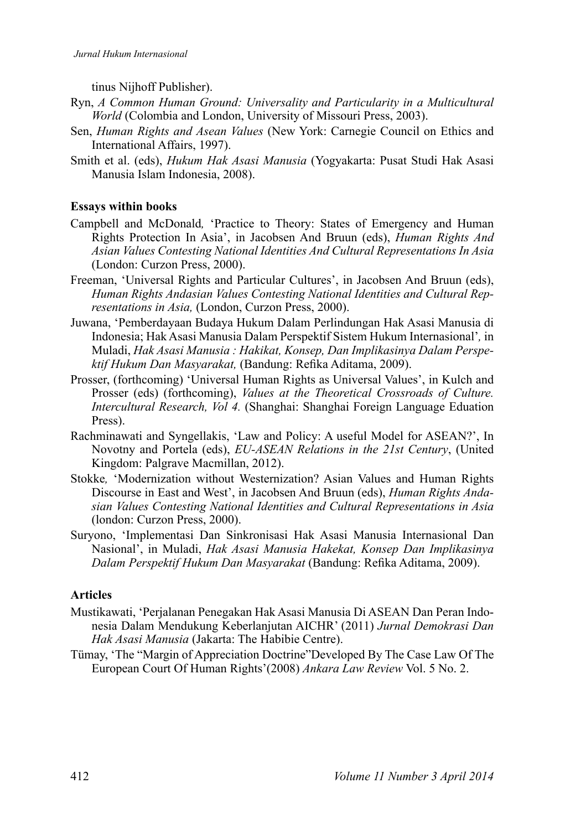tinus Nijhoff Publisher).

- Ryn, *A Common Human Ground: Universality and Particularity in a Multicultural World* (Colombia and London, University of Missouri Press, 2003).
- Sen, *Human Rights and Asean Values* (New York: Carnegie Council on Ethics and International Affairs, 1997).
- Smith et al. (eds), *Hukum Hak Asasi Manusia* (Yogyakarta: Pusat Studi Hak Asasi Manusia Islam Indonesia, 2008).

#### **Essays within books**

- Campbell and McDonald*,* 'Practice to Theory: States of Emergency and Human Rights Protection In Asia', in Jacobsen And Bruun (eds), *Human Rights And Asian Values Contesting National Identities And Cultural Representations In Asia* (London: Curzon Press, 2000).
- Freeman, 'Universal Rights and Particular Cultures', in Jacobsen And Bruun (eds), *Human Rights Andasian Values Contesting National Identities and Cultural Representations in Asia,* (London, Curzon Press, 2000).
- Juwana, 'Pemberdayaan Budaya Hukum Dalam Perlindungan Hak Asasi Manusia di Indonesia; Hak Asasi Manusia Dalam Perspektif Sistem Hukum Internasional'*,* in Muladi, *Hak Asasi Manusia : Hakikat, Konsep, Dan Implikasinya Dalam Perspektif Hukum Dan Masyarakat, (Bandung: Refika Aditama, 2009).*
- Prosser, (forthcoming) 'Universal Human Rights as Universal Values', in Kulch and Prosser (eds) (forthcoming), *Values at the Theoretical Crossroads of Culture. Intercultural Research, Vol 4.* (Shanghai: Shanghai Foreign Language Eduation Press).
- Rachminawati and Syngellakis, 'Law and Policy: A useful Model for ASEAN?', In Novotny and Portela (eds), *EU-ASEAN Relations in the 21st Century*, (United Kingdom: Palgrave Macmillan, 2012).
- Stokke*,* 'Modernization without Westernization? Asian Values and Human Rights Discourse in East and West', in Jacobsen And Bruun (eds), *Human Rights Andasian Values Contesting National Identities and Cultural Representations in Asia* (london: Curzon Press, 2000).
- Suryono, 'Implementasi Dan Sinkronisasi Hak Asasi Manusia Internasional Dan Nasional', in Muladi, *Hak Asasi Manusia Hakekat, Konsep Dan Implikasinya Dalam Perspektif Hukum Dan Masyarakat* (Bandung: Refika Aditama, 2009).

#### **Articles**

- Mustikawati, 'Perjalanan Penegakan Hak Asasi Manusia Di ASEAN Dan Peran Indonesia Dalam Mendukung Keberlanjutan AICHR' (2011) *Jurnal Demokrasi Dan Hak Asasi Manusia* (Jakarta: The Habibie Centre).
- Tümay, 'The "Margin of Appreciation Doctrine"Developed By The Case Law Of The European Court Of Human Rights'(2008) *Ankara Law Review* Vol. 5 No. 2.